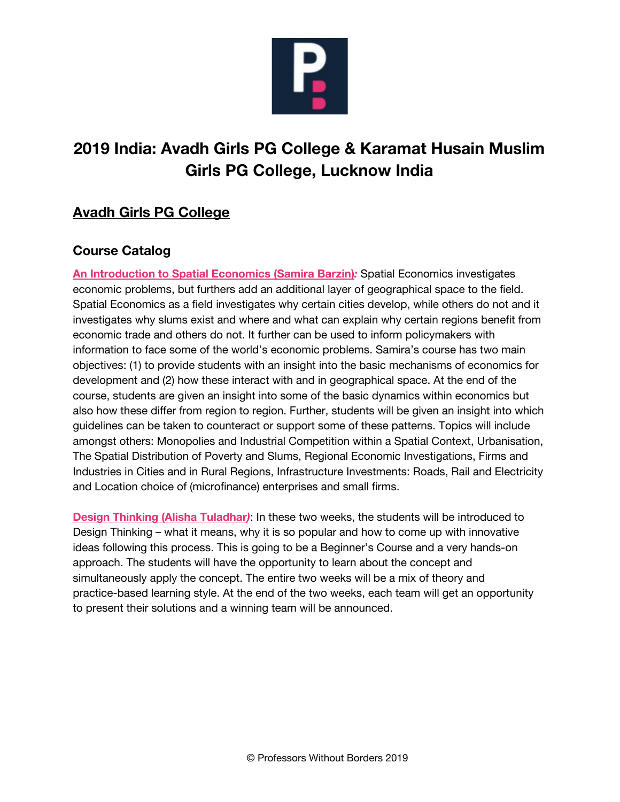

# **2019 India: Avadh Girls PG College & Karamat Husain Muslim Girls PG College, Lucknow India**

# **Avadh Girls PG College**

## **Course Catalog**

**An Introduction to Spatial Economics (Samira Barzin)***:* Spatial Economics investigates economic problems, but furthers add an additional layer of geographical space to the field. Spatial Economics as a field investigates why certain cities develop, while others do not and it investigates why slums exist and where and what can explain why certain regions benefit from economic trade and others do not. It further can be used to inform policymakers with information to face some of the world's economic problems. Samira's course has two main objectives: (1) to provide students with an insight into the basic mechanisms of economics for development and (2) how these interact with and in geographical space. At the end of the course, students are given an insight into some of the basic dynamics within economics but also how these differ from region to region. Further, students will be given an insight into which guidelines can be taken to counteract or support some of these patterns. Topics will include amongst others: Monopolies and Industrial Competition within a Spatial Context, Urbanisation, The Spatial Distribution of Poverty and Slums, Regional Economic Investigations, Firms and Industries in Cities and in Rural Regions, Infrastructure Investments: Roads, Rail and Electricity and Location choice of (microfinance) enterprises and small firms.

**Design Thinking (Alisha Tuladhar***)*: In these two weeks, the students will be introduced to Design Thinking – what it means, why it is so popular and how to come up with innovative ideas following this process. This is going to be a Beginner's Course and a very hands-on approach. The students will have the opportunity to learn about the concept and simultaneously apply the concept. The entire two weeks will be a mix of theory and practice-based learning style. At the end of the two weeks, each team will get an opportunity to present their solutions and a winning team will be announced.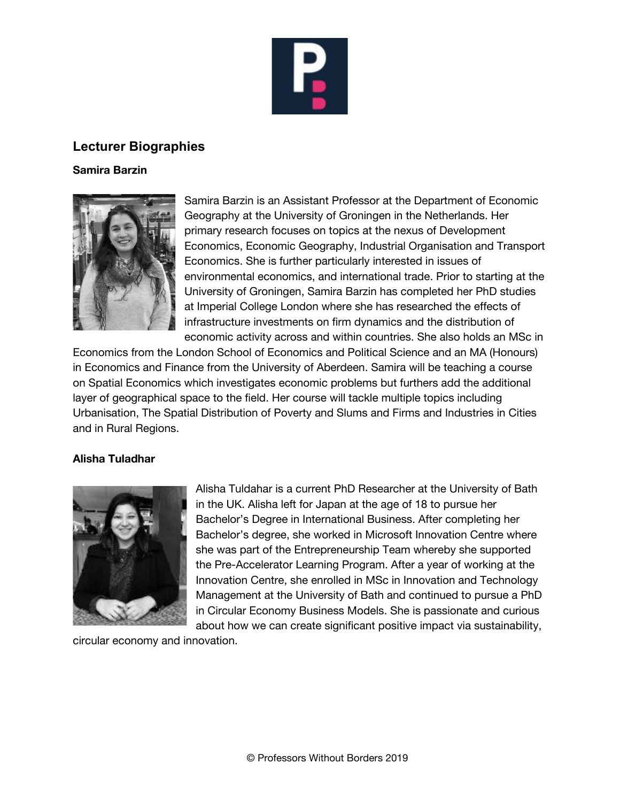

### **Lecturer Biographies**

#### **Samira Barzin**



Samira Barzin is an Assistant Professor at the Department of Economic Geography at the University of Groningen in the Netherlands. Her primary research focuses on topics at the nexus of Development Economics, Economic Geography, Industrial Organisation and Transport Economics. She is further particularly interested in issues of environmental economics, and international trade. Prior to starting at the University of Groningen, Samira Barzin has completed her PhD studies at Imperial College London where she has researched the effects of infrastructure investments on firm dynamics and the distribution of economic activity across and within countries. She also holds an MSc in

Economics from the London School of Economics and Political Science and an MA (Honours) in Economics and Finance from the University of Aberdeen. Samira will be teaching a course on Spatial Economics which investigates economic problems but furthers add the additional layer of geographical space to the field. Her course will tackle multiple topics including Urbanisation, The Spatial Distribution of Poverty and Slums and Firms and Industries in Cities and in Rural Regions.

#### **Alisha Tuladhar**



Alisha Tuldahar is a current PhD Researcher at the University of Bath in the UK. Alisha left for Japan at the age of 18 to pursue her Bachelor's Degree in International Business. After completing her Bachelor's degree, she worked in Microsoft Innovation Centre where she was part of the Entrepreneurship Team whereby she supported the Pre-Accelerator Learning Program. After a year of working at the Innovation Centre, she enrolled in MSc in Innovation and Technology Management at the University of Bath and continued to pursue a PhD in Circular Economy Business Models. She is passionate and curious about how we can create significant positive impact via sustainability,

circular economy and innovation.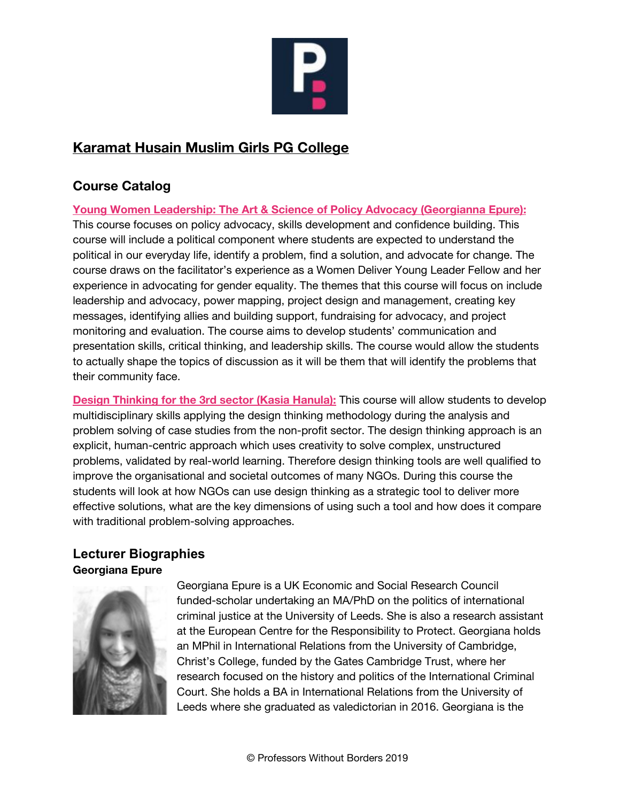

# **Karamat Husain Muslim Girls PG College**

# **Course Catalog**

**Young Women Leadership: The Art & Science of Policy Advocacy (Georgianna Epure):** This course focuses on policy advocacy, skills development and confidence building. This course will include a political component where students are expected to understand the political in our everyday life, identify a problem, find a solution, and advocate for change. The course draws on the facilitator's experience as a Women Deliver Young Leader Fellow and her experience in advocating for gender equality. The themes that this course will focus on include leadership and advocacy, power mapping, project design and management, creating key messages, identifying allies and building support, fundraising for advocacy, and project monitoring and evaluation. The course aims to develop students' communication and presentation skills, critical thinking, and leadership skills. The course would allow the students to actually shape the topics of discussion as it will be them that will identify the problems that their community face.

**Design Thinking for the 3rd sector (Kasia Hanula):** This course will allow students to develop multidisciplinary skills applying the design thinking methodology during the analysis and problem solving of case studies from the non-profit sector. The design thinking approach is an explicit, human-centric approach which uses creativity to solve complex, unstructured problems, validated by real-world learning. Therefore design thinking tools are well qualified to improve the organisational and societal outcomes of many NGOs. During this course the students will look at how NGOs can use design thinking as a strategic tool to deliver more effective solutions, what are the key dimensions of using such a tool and how does it compare with traditional problem-solving approaches.

### **Lecturer Biographies Georgiana Epure**



Georgiana Epure is a UK Economic and Social Research Council funded-scholar undertaking an MA/PhD on the politics of international criminal justice at the University of Leeds. She is also a research assistant at the European Centre for the Responsibility to Protect. Georgiana holds an MPhil in International Relations from the University of Cambridge, Christ's College, funded by the Gates Cambridge Trust, where her research focused on the history and politics of the International Criminal Court. She holds a BA in International Relations from the University of Leeds where she graduated as valedictorian in 2016. Georgiana is the